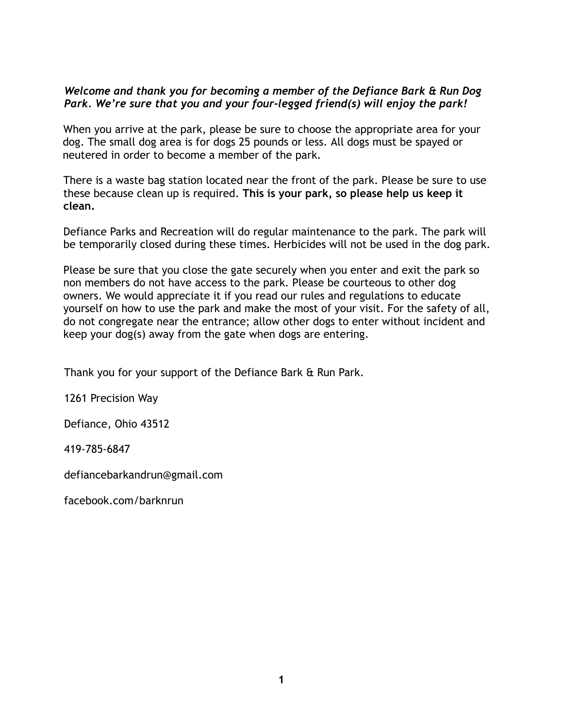#### *Welcome and thank you for becoming a member of the Defiance Bark & Run Dog Park. We're sure that you and your four-legged friend(s) will enjoy the park!*

When you arrive at the park, please be sure to choose the appropriate area for your dog. The small dog area is for dogs 25 pounds or less. All dogs must be spayed or neutered in order to become a member of the park.

There is a waste bag station located near the front of the park. Please be sure to use these because clean up is required. **This is your park, so please help us keep it clean.**

Defiance Parks and Recreation will do regular maintenance to the park. The park will be temporarily closed during these times. Herbicides will not be used in the dog park.

Please be sure that you close the gate securely when you enter and exit the park so non members do not have access to the park. Please be courteous to other dog owners. We would appreciate it if you read our rules and regulations to educate yourself on how to use the park and make the most of your visit. For the safety of all, do not congregate near the entrance; allow other dogs to enter without incident and keep your dog(s) away from the gate when dogs are entering.

Thank you for your support of the Defiance Bark & Run Park.

1261 Precision Way

Defiance, Ohio 43512

419-785-6847

defiancebarkandrun@gmail.com

facebook.com/barknrun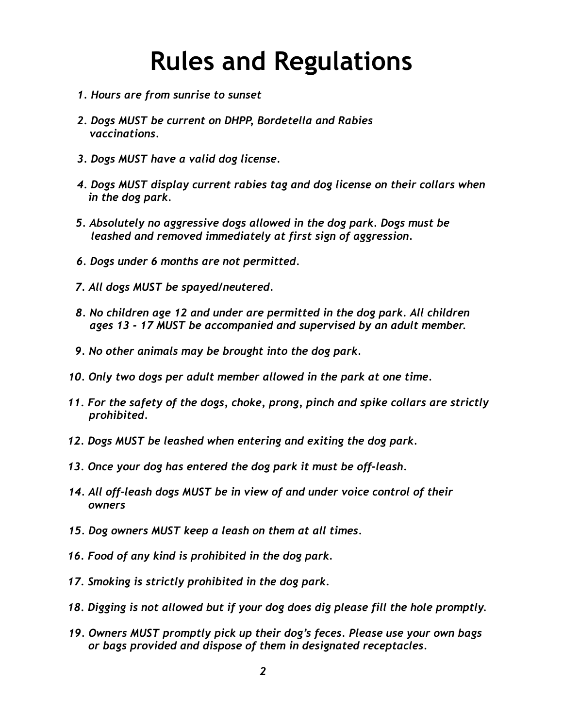## **Rules and Regulations**

- *1. Hours are from sunrise to sunset*
- *2. Dogs MUST be current on DHPP, Bordetella and Rabies vaccinations.*
- *3. Dogs MUST have a valid dog license.*
- *4. Dogs MUST display current rabies tag and dog license on their collars when in the dog park.*
- *5. Absolutely no aggressive dogs allowed in the dog park. Dogs must be leashed and removed immediately at first sign of aggression.*
- *6. Dogs under 6 months are not permitted.*
- *7. All dogs MUST be spayed/neutered.*
- *8. No children age 12 and under are permitted in the dog park. All children ages 13 - 17 MUST be accompanied and supervised by an adult member.*
- *9. No other animals may be brought into the dog park.*
- *10. Only two dogs per adult member allowed in the park at one time.*
- *11. For the safety of the dogs, choke, prong, pinch and spike collars are strictly prohibited.*
- *12. Dogs MUST be leashed when entering and exiting the dog park.*
- *13. Once your dog has entered the dog park it must be off-leash.*
- *14. All off-leash dogs MUST be in view of and under voice control of their owners*
- *15. Dog owners MUST keep a leash on them at all times.*
- *16. Food of any kind is prohibited in the dog park.*
- *17. Smoking is strictly prohibited in the dog park.*
- *18. Digging is not allowed but if your dog does dig please fill the hole promptly.*
- *19. Owners MUST promptly pick up their dog's feces. Please use your own bags or bags provided and dispose of them in designated receptacles.*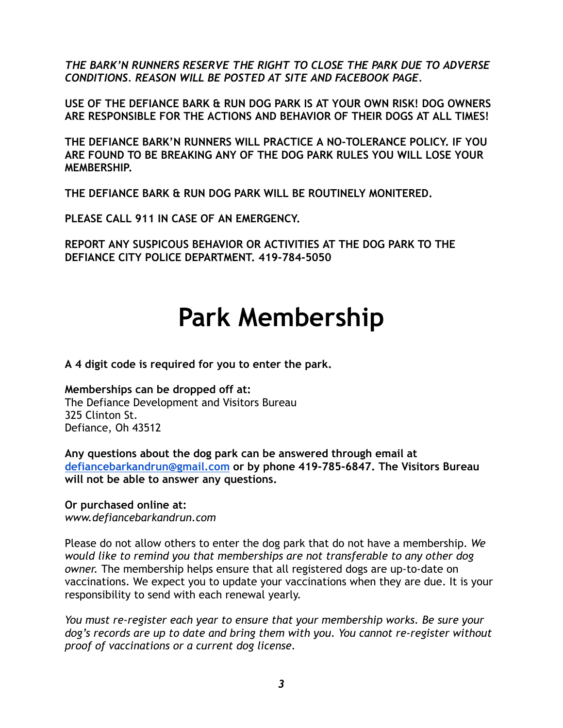*THE BARK'N RUNNERS RESERVE THE RIGHT TO CLOSE THE PARK DUE TO ADVERSE CONDITIONS. REASON WILL BE POSTED AT SITE AND FACEBOOK PAGE.*

**USE OF THE DEFIANCE BARK & RUN DOG PARK IS AT YOUR OWN RISK! DOG OWNERS ARE RESPONSIBLE FOR THE ACTIONS AND BEHAVIOR OF THEIR DOGS AT ALL TIMES!**

**THE DEFIANCE BARK'N RUNNERS WILL PRACTICE A NO-TOLERANCE POLICY. IF YOU ARE FOUND TO BE BREAKING ANY OF THE DOG PARK RULES YOU WILL LOSE YOUR MEMBERSHIP.**

**THE DEFIANCE BARK & RUN DOG PARK WILL BE ROUTINELY MONITERED.**

**PLEASE CALL 911 IN CASE OF AN EMERGENCY.**

**REPORT ANY SUSPICOUS BEHAVIOR OR ACTIVITIES AT THE DOG PARK TO THE DEFIANCE CITY POLICE DEPARTMENT. 419-784-5050**

# **Park Membership**

**A 4 digit code is required for you to enter the park.**

**Memberships can be dropped off at:** The Defiance Development and Visitors Bureau 325 Clinton St. Defiance, Oh 43512

**Any questions about the dog park can be answered through email at [defiancebarkandrun@gmail.com](mailto:defiancebarkandrun@gmail.com) or by phone 419-785-6847. The Visitors Bureau will not be able to answer any questions.**

#### **Or purchased online at:**

*www.defiancebarkandrun.com*

Please do not allow others to enter the dog park that do not have a membership. *We would like to remind you that memberships are not transferable to any other dog owner.* The membership helps ensure that all registered dogs are up-to-date on vaccinations. We expect you to update your vaccinations when they are due. It is your responsibility to send with each renewal yearly.

*You must re-register each year to ensure that your membership works. Be sure your dog's records are up to date and bring them with you. You cannot re-register without proof of vaccinations or a current dog license.*